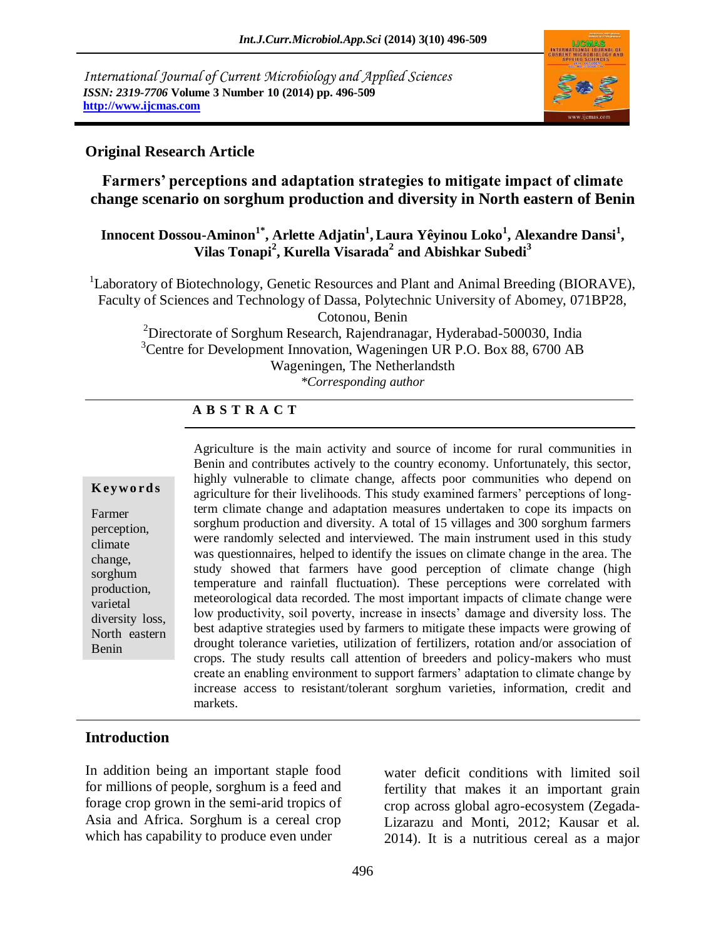*International Journal of Current Microbiology and Applied Sciences ISSN: 2319-7706* **Volume 3 Number 10 (2014) pp. 496-509 http://www.ijcmas.com** 



#### **Original Research Article**

**Farmers' perceptions and adaptation strategies to mitigate impact of climate change scenario on sorghum production and diversity in North eastern of Benin**

### **Innocent Dossou-Aminon1\*, Arlette Adjatin<sup>1</sup> , Laura Yêyinou Loko<sup>1</sup> , Alexandre Dansi<sup>1</sup> , Vilas Tonapi<sup>2</sup> , Kurella Visarada<sup>2</sup> and Abishkar Subedi<sup>3</sup>**

<sup>1</sup>Laboratory of Biotechnology, Genetic Resources and Plant and Animal Breeding (BIORAVE), Faculty of Sciences and Technology of Dassa, Polytechnic University of Abomey, 071BP28,

Cotonou, Benin

<sup>2</sup>Directorate of Sorghum Research, Rajendranagar, Hyderabad-500030, India <sup>3</sup>Centre for Development Innovation, Wageningen UR P.O. Box 88, 6700 AB Wageningen, The Netherlandsth *\*Corresponding author* 

# **A B S T R A C T**

#### **K ey w o rd s**

Farmer perception, climate change, sorghum production, varietal diversity loss, North eastern Benin

Agriculture is the main activity and source of income for rural communities in Benin and contributes actively to the country economy. Unfortunately, this sector, highly vulnerable to climate change, affects poor communities who depend on agriculture for their livelihoods. This study examined farmers' perceptions of longterm climate change and adaptation measures undertaken to cope its impacts on sorghum production and diversity. A total of 15 villages and 300 sorghum farmers were randomly selected and interviewed. The main instrument used in this study was questionnaires, helped to identify the issues on climate change in the area. The study showed that farmers have good perception of climate change (high temperature and rainfall fluctuation). These perceptions were correlated with meteorological data recorded. The most important impacts of climate change were low productivity, soil poverty, increase in insects' damage and diversity loss. The best adaptive strategies used by farmers to mitigate these impacts were growing of drought tolerance varieties, utilization of fertilizers, rotation and/or association of crops. The study results call attention of breeders and policy-makers who must create an enabling environment to support farmers' adaptation to climate change by increase access to resistant/tolerant sorghum varieties, information, credit and markets.

## **Introduction**

In addition being an important staple food for millions of people, sorghum is a feed and forage crop grown in the semi-arid tropics of Asia and Africa. Sorghum is a cereal crop which has capability to produce even under

water deficit conditions with limited soil fertility that makes it an important grain crop across global agro-ecosystem (Zegada-Lizarazu and Monti, 2012; Kausar et al. 2014). It is a nutritious cereal as a major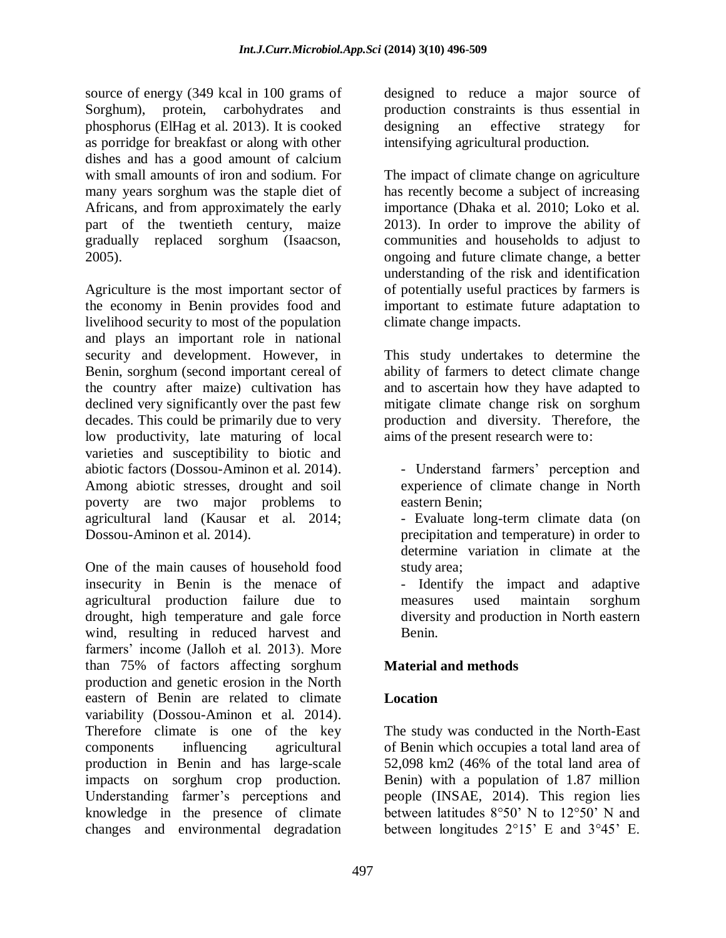source of energy (349 kcal in 100 grams of Sorghum), protein, carbohydrates and phosphorus (ElHag et al. 2013). It is cooked as porridge for breakfast or along with other dishes and has a good amount of calcium with small amounts of iron and sodium. For many years sorghum was the staple diet of Africans, and from approximately the early part of the twentieth century, maize gradually replaced sorghum (Isaacson, 2005).

Agriculture is the most important sector of the economy in Benin provides food and livelihood security to most of the population and plays an important role in national security and development. However, in Benin, sorghum (second important cereal of the country after maize) cultivation has declined very significantly over the past few decades. This could be primarily due to very low productivity, late maturing of local varieties and susceptibility to biotic and abiotic factors (Dossou-Aminon et al. 2014). Among abiotic stresses, drought and soil poverty are two major problems to agricultural land (Kausar et al. 2014; Dossou-Aminon et al. 2014).

One of the main causes of household food insecurity in Benin is the menace of agricultural production failure due to drought, high temperature and gale force wind, resulting in reduced harvest and farmers' income (Jalloh et al. 2013). More than 75% of factors affecting sorghum production and genetic erosion in the North eastern of Benin are related to climate variability (Dossou-Aminon et al. 2014). Therefore climate is one of the key components influencing agricultural production in Benin and has large-scale impacts on sorghum crop production. Understanding farmer's perceptions and knowledge in the presence of climate changes and environmental degradation

designed to reduce a major source of production constraints is thus essential in designing an effective strategy for intensifying agricultural production.

The impact of climate change on agriculture has recently become a subject of increasing importance (Dhaka et al. 2010; Loko et al. 2013). In order to improve the ability of communities and households to adjust to ongoing and future climate change, a better understanding of the risk and identification of potentially useful practices by farmers is important to estimate future adaptation to climate change impacts.

This study undertakes to determine the ability of farmers to detect climate change and to ascertain how they have adapted to mitigate climate change risk on sorghum production and diversity. Therefore, the aims of the present research were to:

- Understand farmers' perception and experience of climate change in North eastern Benin;

- Evaluate long-term climate data (on precipitation and temperature) in order to determine variation in climate at the study area;

- Identify the impact and adaptive measures used maintain sorghum diversity and production in North eastern Benin.

## **Material and methods**

## **Location**

The study was conducted in the North-East of Benin which occupies a total land area of 52,098 km2 (46% of the total land area of Benin) with a population of 1.87 million people (INSAE, 2014). This region lies between latitudes 8°50' N to 12°50' N and between longitudes 2°15' E and 3°45' E.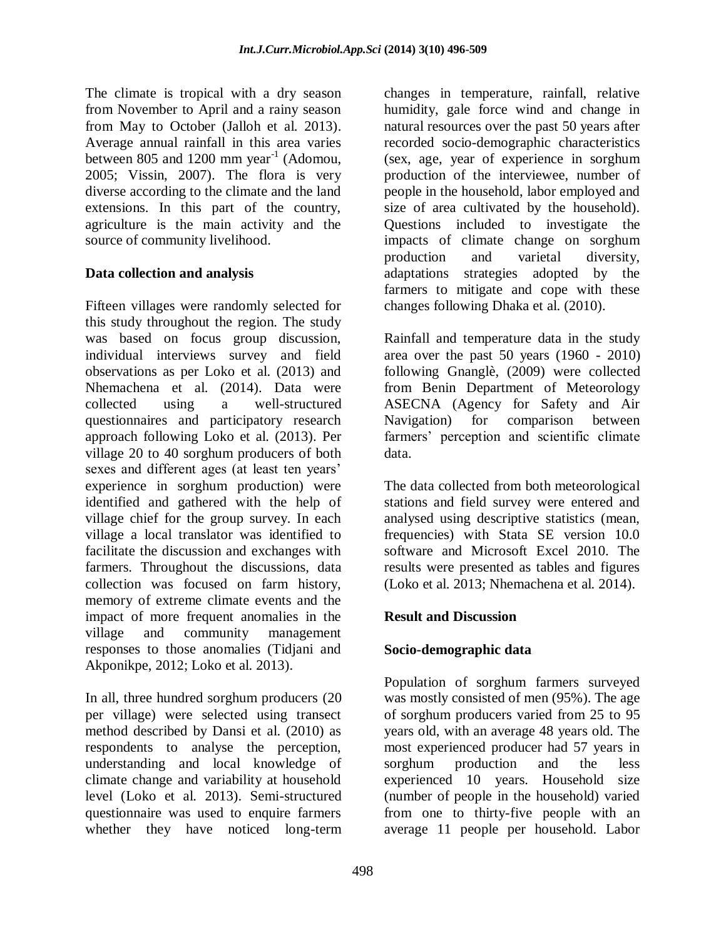The climate is tropical with a dry season from November to April and a rainy season from May to October (Jalloh et al. 2013). Average annual rainfall in this area varies between 805 and 1200 mm year<sup>-1</sup> (Adomou, 2005; Vissin, 2007). The flora is very diverse according to the climate and the land extensions. In this part of the country, agriculture is the main activity and the source of community livelihood.

## **Data collection and analysis**

Fifteen villages were randomly selected for this study throughout the region. The study was based on focus group discussion, individual interviews survey and field observations as per Loko et al. (2013) and Nhemachena et al. (2014). Data were collected using a well-structured questionnaires and participatory research approach following Loko et al. (2013). Per village 20 to 40 sorghum producers of both sexes and different ages (at least ten years' experience in sorghum production) were identified and gathered with the help of village chief for the group survey. In each village a local translator was identified to facilitate the discussion and exchanges with farmers. Throughout the discussions, data collection was focused on farm history, memory of extreme climate events and the impact of more frequent anomalies in the village and community management responses to those anomalies (Tidjani and Akponikpe, 2012; Loko et al. 2013).

In all, three hundred sorghum producers (20 per village) were selected using transect method described by Dansi et al. (2010) as respondents to analyse the perception, understanding and local knowledge of climate change and variability at household level (Loko et al. 2013). Semi-structured questionnaire was used to enquire farmers whether they have noticed long-term

changes in temperature, rainfall, relative humidity, gale force wind and change in natural resources over the past 50 years after recorded socio-demographic characteristics (sex, age, year of experience in sorghum production of the interviewee, number of people in the household, labor employed and size of area cultivated by the household). Questions included to investigate the impacts of climate change on sorghum production and varietal diversity, adaptations strategies adopted by the farmers to mitigate and cope with these changes following Dhaka et al. (2010).

Rainfall and temperature data in the study area over the past 50 years (1960 - 2010) following Gnanglè, (2009) were collected from Benin Department of Meteorology ASECNA (Agency for Safety and Air Navigation) for comparison between farmers' perception and scientific climate data.

The data collected from both meteorological stations and field survey were entered and analysed using descriptive statistics (mean, frequencies) with Stata SE version 10.0 software and Microsoft Excel 2010. The results were presented as tables and figures (Loko et al. 2013; Nhemachena et al. 2014).

#### **Result and Discussion**

## **Socio-demographic data**

Population of sorghum farmers surveyed was mostly consisted of men (95%). The age of sorghum producers varied from 25 to 95 years old, with an average 48 years old. The most experienced producer had 57 years in sorghum production and the less experienced 10 years. Household size (number of people in the household) varied from one to thirty-five people with an average 11 people per household. Labor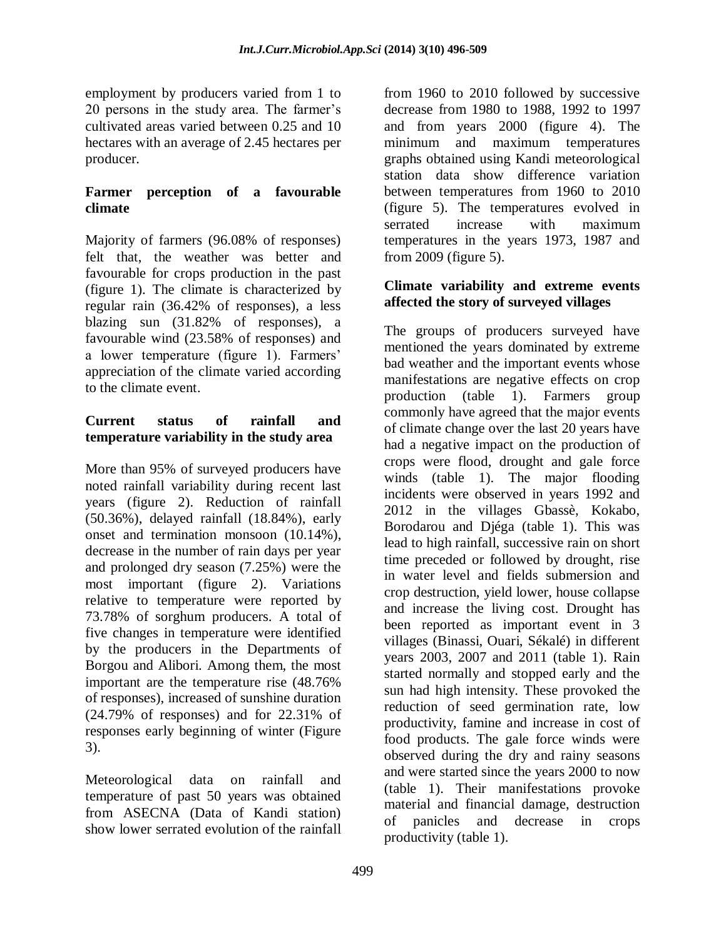employment by producers varied from 1 to 20 persons in the study area. The farmer's cultivated areas varied between 0.25 and 10 hectares with an average of 2.45 hectares per producer.

#### **Farmer perception of a favourable climate**

Majority of farmers (96.08% of responses) felt that, the weather was better and favourable for crops production in the past (figure 1). The climate is characterized by regular rain (36.42% of responses), a less blazing sun (31.82% of responses), a favourable wind (23.58% of responses) and a lower temperature (figure 1). Farmers' appreciation of the climate varied according to the climate event.

## **Current status of rainfall and temperature variability in the study area**

More than 95% of surveyed producers have noted rainfall variability during recent last years (figure 2). Reduction of rainfall (50.36%), delayed rainfall (18.84%), early onset and termination monsoon (10.14%), decrease in the number of rain days per year and prolonged dry season (7.25%) were the most important (figure 2). Variations relative to temperature were reported by 73.78% of sorghum producers. A total of five changes in temperature were identified by the producers in the Departments of Borgou and Alibori. Among them, the most important are the temperature rise (48.76% of responses), increased of sunshine duration (24.79% of responses) and for 22.31% of responses early beginning of winter (Figure 3).

Meteorological data on rainfall and temperature of past 50 years was obtained from ASECNA (Data of Kandi station) show lower serrated evolution of the rainfall

from 1960 to 2010 followed by successive decrease from 1980 to 1988, 1992 to 1997 and from years 2000 (figure 4). The minimum and maximum temperatures graphs obtained using Kandi meteorological station data show difference variation between temperatures from 1960 to 2010 (figure 5). The temperatures evolved in serrated increase with maximum temperatures in the years 1973, 1987 and from 2009 (figure 5).

#### **Climate variability and extreme events affected the story of surveyed villages**

The groups of producers surveyed have mentioned the years dominated by extreme bad weather and the important events whose manifestations are negative effects on crop production (table 1). Farmers group commonly have agreed that the major events of climate change over the last 20 years have had a negative impact on the production of crops were flood, drought and gale force winds (table 1). The major flooding incidents were observed in years 1992 and 2012 in the villages Gbassè, Kokabo, Borodarou and Djéga (table 1). This was lead to high rainfall, successive rain on short time preceded or followed by drought, rise in water level and fields submersion and crop destruction, yield lower, house collapse and increase the living cost. Drought has been reported as important event in 3 villages (Binassi, Ouari, Sékalé) in different years 2003, 2007 and 2011 (table 1). Rain started normally and stopped early and the sun had high intensity. These provoked the reduction of seed germination rate, low productivity, famine and increase in cost of food products. The gale force winds were observed during the dry and rainy seasons and were started since the years 2000 to now (table 1). Their manifestations provoke material and financial damage, destruction of panicles and decrease in crops productivity (table 1).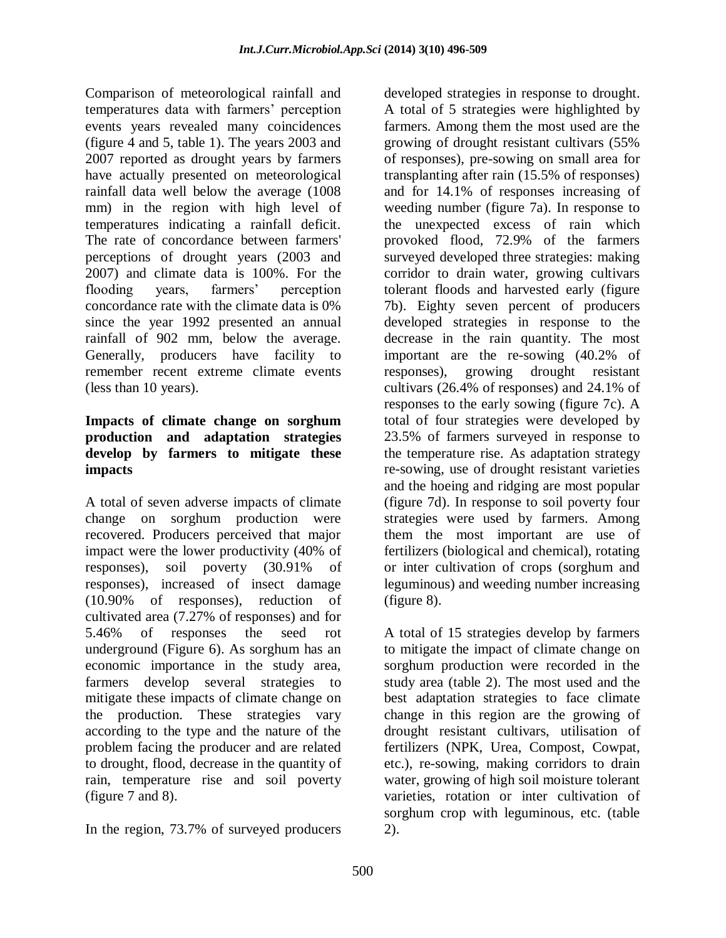Comparison of meteorological rainfall and temperatures data with farmers' perception events years revealed many coincidences (figure 4 and 5, table 1). The years 2003 and 2007 reported as drought years by farmers have actually presented on meteorological rainfall data well below the average (1008 mm) in the region with high level of temperatures indicating a rainfall deficit. The rate of concordance between farmers' perceptions of drought years (2003 and 2007) and climate data is 100%. For the flooding years, farmers' perception concordance rate with the climate data is 0% since the year 1992 presented an annual rainfall of 902 mm, below the average. Generally, producers have facility to remember recent extreme climate events (less than 10 years).

#### **Impacts of climate change on sorghum production and adaptation strategies develop by farmers to mitigate these impacts**

A total of seven adverse impacts of climate change on sorghum production were recovered. Producers perceived that major impact were the lower productivity (40% of responses), soil poverty (30.91% of responses), increased of insect damage (10.90% of responses), reduction of cultivated area (7.27% of responses) and for 5.46% of responses the seed rot underground (Figure 6). As sorghum has an economic importance in the study area, farmers develop several strategies to mitigate these impacts of climate change on the production. These strategies vary according to the type and the nature of the problem facing the producer and are related to drought, flood, decrease in the quantity of rain, temperature rise and soil poverty (figure 7 and 8).

In the region, 73.7% of surveyed producers

developed strategies in response to drought. A total of 5 strategies were highlighted by farmers. Among them the most used are the growing of drought resistant cultivars (55% of responses), pre-sowing on small area for transplanting after rain (15.5% of responses) and for 14.1% of responses increasing of weeding number (figure 7a). In response to the unexpected excess of rain which provoked flood, 72.9% of the farmers surveyed developed three strategies: making corridor to drain water, growing cultivars tolerant floods and harvested early (figure 7b). Eighty seven percent of producers developed strategies in response to the decrease in the rain quantity. The most important are the re-sowing (40.2% of responses), growing drought resistant cultivars (26.4% of responses) and 24.1% of responses to the early sowing (figure 7c). A total of four strategies were developed by 23.5% of farmers surveyed in response to the temperature rise. As adaptation strategy re-sowing, use of drought resistant varieties and the hoeing and ridging are most popular (figure 7d). In response to soil poverty four strategies were used by farmers. Among them the most important are use of fertilizers (biological and chemical), rotating or inter cultivation of crops (sorghum and leguminous) and weeding number increasing (figure 8).

A total of 15 strategies develop by farmers to mitigate the impact of climate change on sorghum production were recorded in the study area (table 2). The most used and the best adaptation strategies to face climate change in this region are the growing of drought resistant cultivars, utilisation of fertilizers (NPK, Urea, Compost, Cowpat, etc.), re-sowing, making corridors to drain water, growing of high soil moisture tolerant varieties, rotation or inter cultivation of sorghum crop with leguminous, etc. (table 2).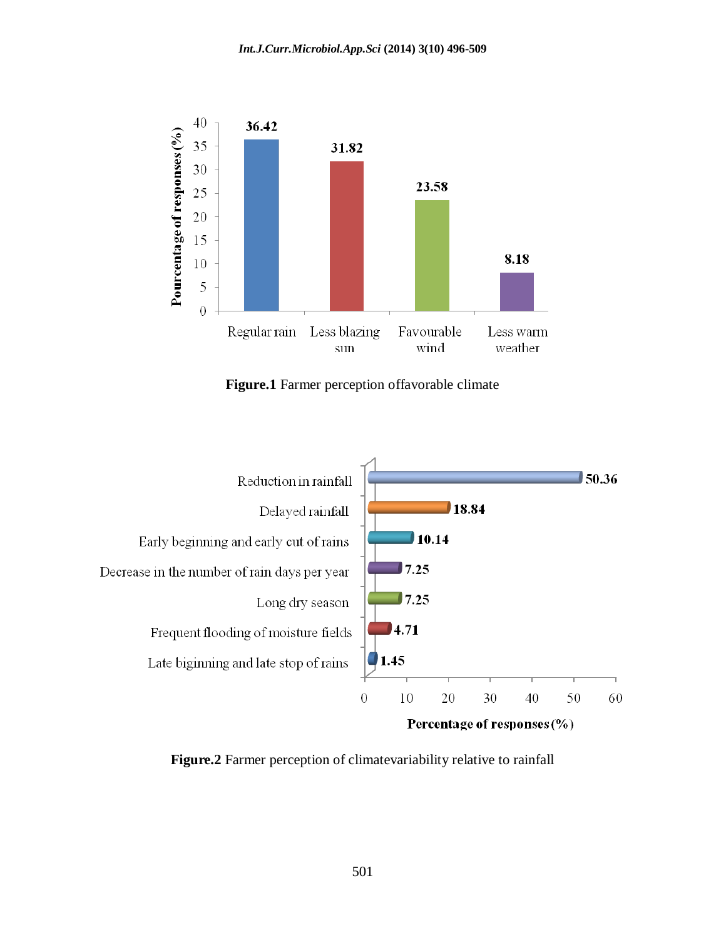

**Figure.1** Farmer perception offavorable climate



**Figure.2** Farmer perception of climatevariability relative to rainfall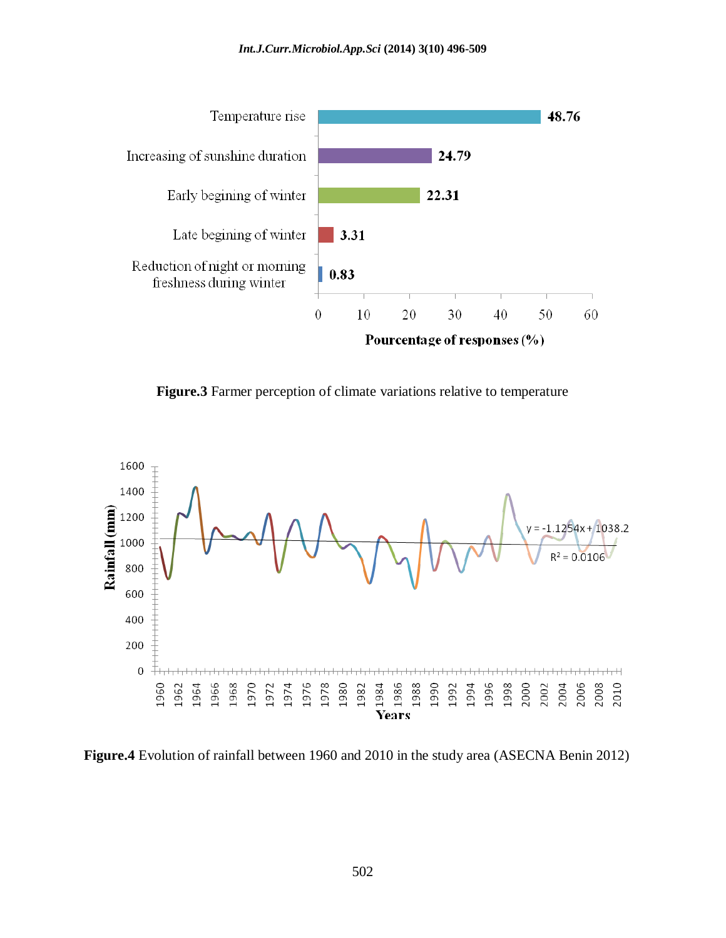

**Figure.3** Farmer perception of climate variations relative to temperature



**Figure.4** Evolution of rainfall between 1960 and 2010 in the study area (ASECNA Benin 2012)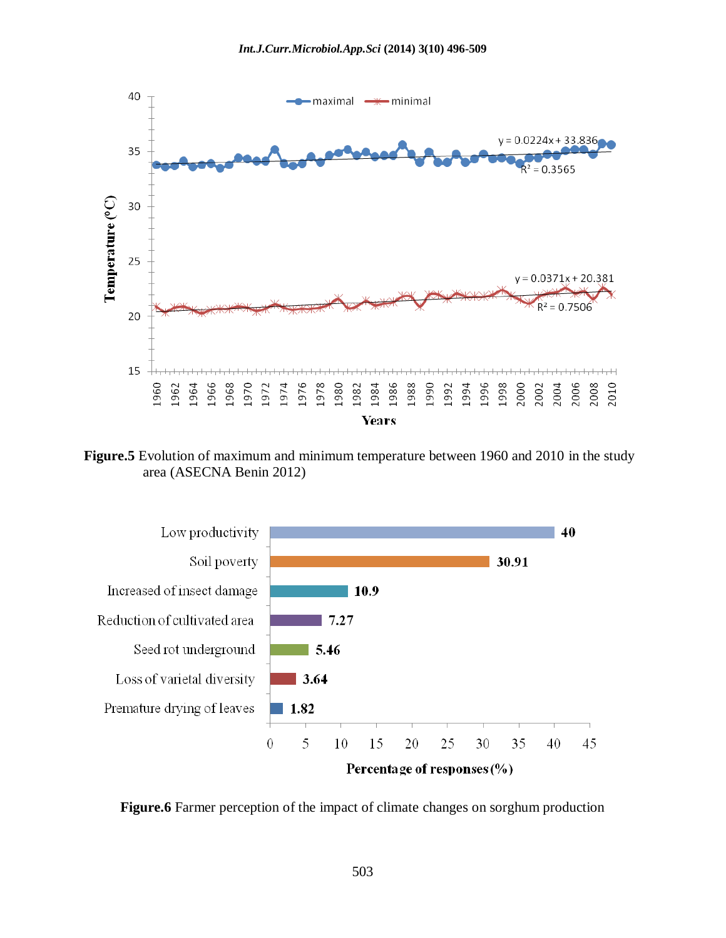

**Figure.5** Evolution of maximum and minimum temperature between 1960 and 2010 in the study area (ASECNA Benin 2012)



**Figure.6** Farmer perception of the impact of climate changes on sorghum production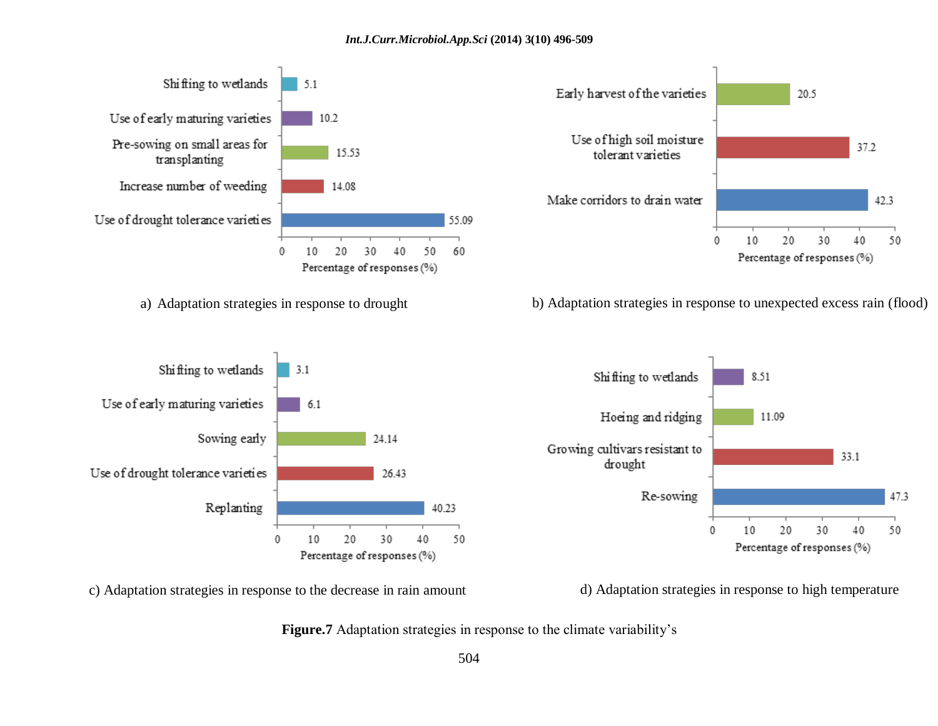

Figure.7 Adaptation strategies in response to the climate variability's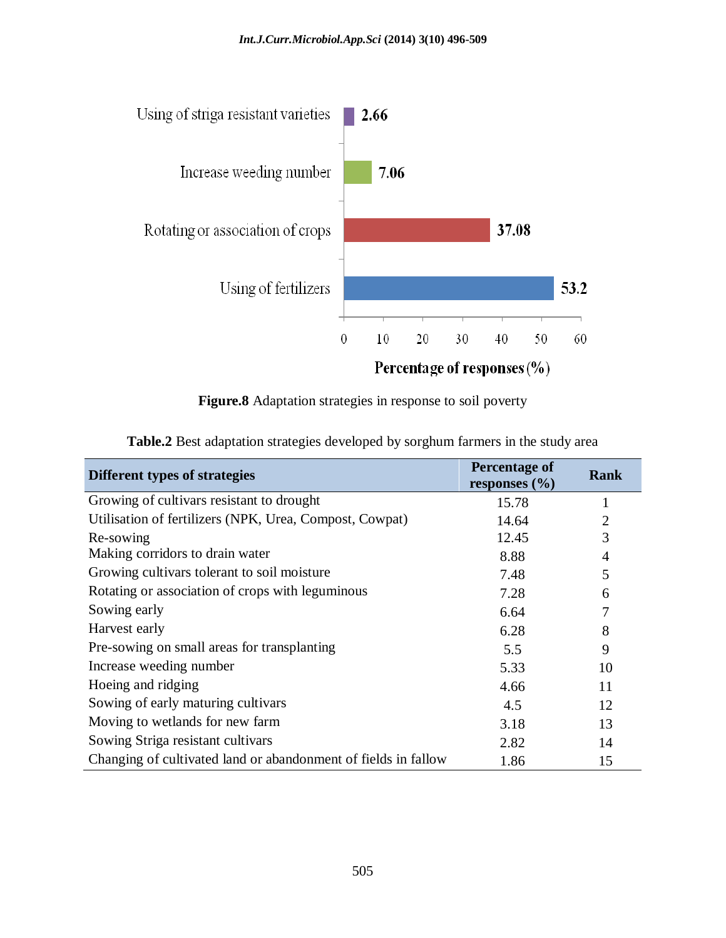

**Figure.8** Adaptation strategies in response to soil poverty

| Different types of strategies                                  | Percentage of<br>responses $(\% )$ | Rank           |
|----------------------------------------------------------------|------------------------------------|----------------|
| Growing of cultivars resistant to drought                      | 15.78                              |                |
| Utilisation of fertilizers (NPK, Urea, Compost, Cowpat)        | 14.64                              | $\overline{2}$ |
| Re-sowing                                                      | 12.45                              | 3              |
| Making corridors to drain water                                | 8.88                               | 4              |
| Growing cultivars tolerant to soil moisture                    | 7.48                               | 5              |
| Rotating or association of crops with leguminous               | 7.28                               | 6              |
| Sowing early                                                   | 6.64                               | 7              |
| Harvest early                                                  | 6.28                               | 8              |
| Pre-sowing on small areas for transplanting                    | 5.5                                | 9              |
| Increase weeding number                                        | 5.33                               | 10             |
| Hoeing and ridging                                             | 4.66                               | 11             |
| Sowing of early maturing cultivars                             | 4.5                                | 12             |
| Moving to wetlands for new farm                                | 3.18                               | 13             |
| Sowing Striga resistant cultivars                              | 2.82                               | 14             |
| Changing of cultivated land or abandonment of fields in fallow | 1.86                               | 15             |

**Table.2** Best adaptation strategies developed by sorghum farmers in the study area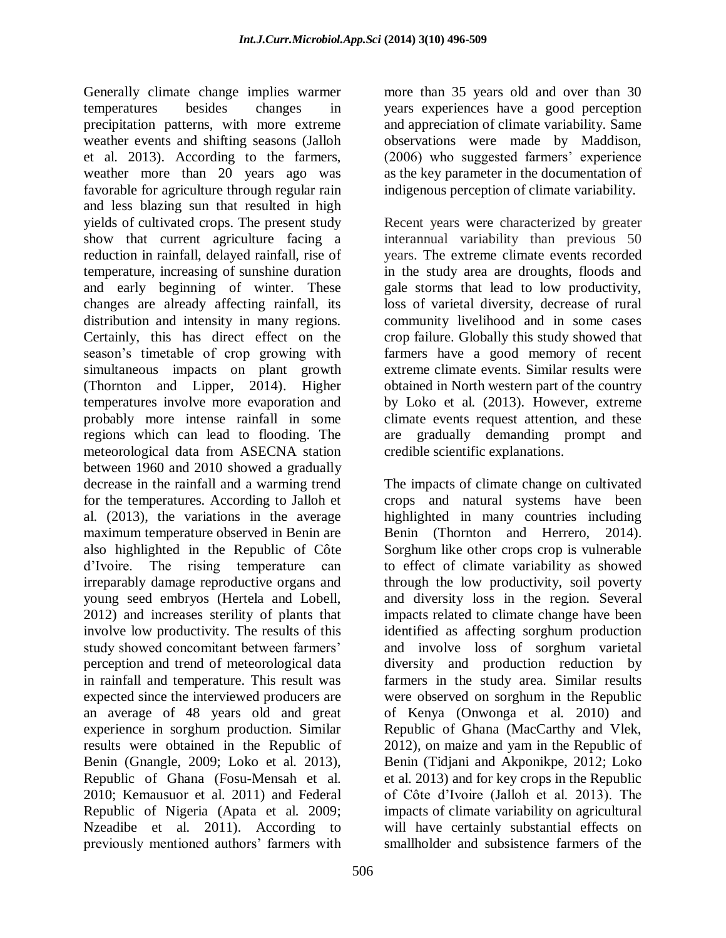Generally climate change implies warmer temperatures besides changes in precipitation patterns, with more extreme weather events and shifting seasons (Jalloh et al. 2013). According to the farmers, weather more than 20 years ago was favorable for agriculture through regular rain and less blazing sun that resulted in high yields of cultivated crops. The present study show that current agriculture facing a reduction in rainfall, delayed rainfall, rise of temperature, increasing of sunshine duration and early beginning of winter. These changes are already affecting rainfall, its distribution and intensity in many regions. Certainly, this has direct effect on the season's timetable of crop growing with simultaneous impacts on plant growth (Thornton and Lipper, 2014). Higher temperatures involve more evaporation and probably more intense rainfall in some regions which can lead to flooding. The meteorological data from ASECNA station between 1960 and 2010 showed a gradually decrease in the rainfall and a warming trend for the temperatures. According to Jalloh et al. (2013), the variations in the average maximum temperature observed in Benin are also highlighted in the Republic of Côte d'Ivoire. The rising temperature can irreparably damage reproductive organs and young seed embryos (Hertela and Lobell, 2012) and increases sterility of plants that involve low productivity. The results of this study showed concomitant between farmers' perception and trend of meteorological data in rainfall and temperature. This result was expected since the interviewed producers are an average of 48 years old and great experience in sorghum production. Similar results were obtained in the Republic of Benin (Gnangle, 2009; Loko et al. 2013), Republic of Ghana (Fosu-Mensah et al. 2010; Kemausuor et al. 2011) and Federal Republic of Nigeria (Apata et al. 2009; Nzeadibe et al. 2011). According to previously mentioned authors' farmers with

more than 35 years old and over than 30 years experiences have a good perception and appreciation of climate variability. Same observations were made by Maddison, (2006) who suggested farmers' experience as the key parameter in the documentation of indigenous perception of climate variability.

Recent years were characterized by greater interannual variability than previous 50 years. The extreme climate events recorded in the study area are droughts, floods and gale storms that lead to low productivity, loss of varietal diversity, decrease of rural community livelihood and in some cases crop failure. Globally this study showed that farmers have a good memory of recent extreme climate events. Similar results were obtained in North western part of the country by Loko et al. (2013). However, extreme climate events request attention, and these are gradually demanding prompt and credible scientific explanations.

The impacts of climate change on cultivated crops and natural systems have been highlighted in many countries including Benin (Thornton and Herrero, 2014). Sorghum like other crops crop is vulnerable to effect of climate variability as showed through the low productivity, soil poverty and diversity loss in the region. Several impacts related to climate change have been identified as affecting sorghum production and involve loss of sorghum varietal diversity and production reduction by farmers in the study area. Similar results were observed on sorghum in the Republic of Kenya (Onwonga et al. 2010) and Republic of Ghana (MacCarthy and Vlek, 2012), on maize and yam in the Republic of Benin (Tidjani and Akponikpe, 2012; Loko et al. 2013) and for key crops in the Republic of Côte d'Ivoire (Jalloh et al. 2013). The impacts of climate variability on agricultural will have certainly substantial effects on smallholder and subsistence farmers of the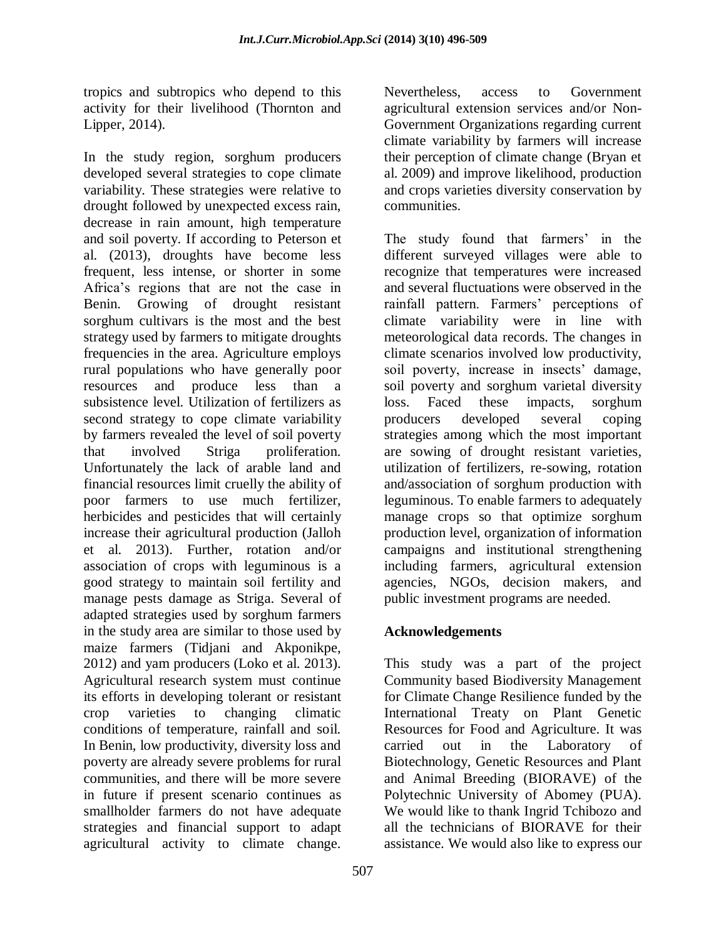tropics and subtropics who depend to this activity for their livelihood (Thornton and Lipper, 2014).

In the study region, sorghum producers developed several strategies to cope climate variability. These strategies were relative to drought followed by unexpected excess rain, decrease in rain amount, high temperature and soil poverty. If according to Peterson et al. (2013), droughts have become less frequent, less intense, or shorter in some Africa's regions that are not the case in Benin. Growing of drought resistant sorghum cultivars is the most and the best strategy used by farmers to mitigate droughts frequencies in the area. Agriculture employs rural populations who have generally poor resources and produce less than a subsistence level. Utilization of fertilizers as second strategy to cope climate variability by farmers revealed the level of soil poverty that involved Striga proliferation. Unfortunately the lack of arable land and financial resources limit cruelly the ability of poor farmers to use much fertilizer, herbicides and pesticides that will certainly increase their agricultural production (Jalloh et al. 2013). Further, rotation and/or association of crops with leguminous is a good strategy to maintain soil fertility and manage pests damage as Striga. Several of adapted strategies used by sorghum farmers in the study area are similar to those used by maize farmers (Tidjani and Akponikpe, 2012) and yam producers (Loko et al. 2013). Agricultural research system must continue its efforts in developing tolerant or resistant crop varieties to changing climatic conditions of temperature, rainfall and soil. In Benin, low productivity, diversity loss and poverty are already severe problems for rural communities, and there will be more severe in future if present scenario continues as smallholder farmers do not have adequate strategies and financial support to adapt agricultural activity to climate change.

Nevertheless, access to Government agricultural extension services and/or Non-Government Organizations regarding current climate variability by farmers will increase their perception of climate change (Bryan et al. 2009) and improve likelihood, production and crops varieties diversity conservation by communities.

The study found that farmers' in the different surveyed villages were able to recognize that temperatures were increased and several fluctuations were observed in the rainfall pattern. Farmers' perceptions of climate variability were in line with meteorological data records. The changes in climate scenarios involved low productivity, soil poverty, increase in insects' damage, soil poverty and sorghum varietal diversity loss. Faced these impacts, sorghum producers developed several coping strategies among which the most important are sowing of drought resistant varieties, utilization of fertilizers, re-sowing, rotation and/association of sorghum production with leguminous. To enable farmers to adequately manage crops so that optimize sorghum production level, organization of information campaigns and institutional strengthening including farmers, agricultural extension agencies, NGOs, decision makers, and public investment programs are needed.

## **Acknowledgements**

This study was a part of the project Community based Biodiversity Management for Climate Change Resilience funded by the International Treaty on Plant Genetic Resources for Food and Agriculture. It was carried out in the Laboratory of Biotechnology, Genetic Resources and Plant and Animal Breeding (BIORAVE) of the Polytechnic University of Abomey (PUA). We would like to thank Ingrid Tchibozo and all the technicians of BIORAVE for their assistance. We would also like to express our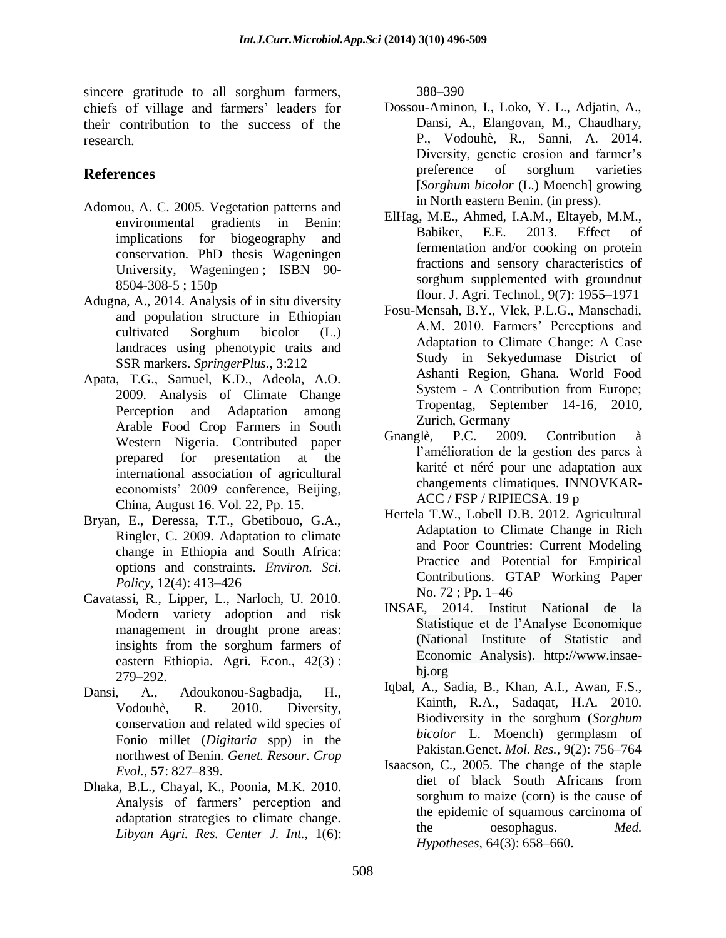sincere gratitude to all sorghum farmers, chiefs of village and farmers' leaders for their contribution to the success of the research.

# **References**

- [Adomou, A. C.](http://library.wur.nl/WebQuery/clc?achternaam==Adomou) 2005. Vegetation patterns and environmental gradients in Benin: implications for biogeography and conservation. PhD thesis Wageningen University, Wageningen ; ISBN 90- 8504-308-5 ; 150p
- Adugna, A., 2014. Analysis of in situ diversity and population structure in Ethiopian cultivated Sorghum bicolor (L.) landraces using phenotypic traits and SSR markers. *SpringerPlus.,* 3:212
- Apata, T.G., Samuel, K.D., Adeola, A.O. 2009. Analysis of Climate Change Perception and Adaptation among Arable Food Crop Farmers in South Western Nigeria. Contributed paper prepared for presentation at the international association of agricultural economists' 2009 conference, Beijing, China, August 16. Vol. 22, Pp. 15.
- Bryan, E., Deressa, T.T., Gbetibouo, G.A., Ringler, C. 2009. Adaptation to climate change in Ethiopia and South Africa: options and constraints. *Environ. Sci. Policy,* 12(4): 413–426
- Cavatassi, R., Lipper, L., Narloch, U. 2010. Modern variety adoption and risk management in drought prone areas: insights from the sorghum farmers of eastern Ethiopia. Agri. Econ., 42(3) : 279–292.
- Dansi, A., Adoukonou-Sagbadja, H., Vodouhè, R. 2010. Diversity, conservation and related wild species of Fonio millet (*Digitaria* spp) in the northwest of Benin. *Genet. Resour. Crop Evol.,* **57**: 827–839.
- Dhaka, B.L., Chayal, K., Poonia, M.K. 2010. Analysis of farmers' perception and adaptation strategies to climate change. *Libyan Agri. Res. Center J. Int.,* 1(6):

388–390

- Dossou-Aminon, I., Loko, Y. L., Adjatin, A., Dansi, A., Elangovan, M., Chaudhary, P., Vodouhè, R., Sanni, A. 2014. Diversity, genetic erosion and farmer's preference of sorghum varieties [*Sorghum bicolor* (L.) Moench] growing in North eastern Benin. (in press).
- ElHag, M.E., Ahmed, I.A.M., Eltayeb, M.M., Babiker, E.E. 2013. Effect of fermentation and/or cooking on protein fractions and sensory characteristics of sorghum supplemented with groundnut flour. J. Agri. Technol., 9(7): 1955–1971
- Fosu-Mensah, B.Y., Vlek, P.L.G., Manschadi, A.M. 2010. Farmers' Perceptions and Adaptation to Climate Change: A Case Study in Sekyedumase District of Ashanti Region, Ghana. World Food System - A Contribution from Europe; Tropentag, September 14-16, 2010, Zurich, Germany
- Gnanglè, P.C. 2009. Contribution à l'amélioration de la gestion des parcs à karité et néré pour une adaptation aux changements climatiques. INNOVKAR-ACC / FSP / RIPIECSA. 19 p
- Hertela T.W., Lobell D.B. 2012. Agricultural Adaptation to Climate Change in Rich and Poor Countries: Current Modeling Practice and Potential for Empirical Contributions. GTAP Working Paper No. 72 ; Pp. 1–46
- INSAE, 2014. Institut National de la Statistique et de l'Analyse Economique (National Institute of Statistic and Economic Analysis). [http://www.insae](http://www.insae-bj.org/)[bj.org](http://www.insae-bj.org/)
- Iqbal, A., Sadia, B., Khan, A.I., Awan, F.S., Kainth, R.A., Sadaqat, H.A. 2010. Biodiversity in the sorghum (*Sorghum bicolor* L. Moench) germplasm of Pakistan.Genet. *Mol. Res.,* 9(2): 756–764
- Isaacson, C., 2005. The change of the staple diet of black South Africans from sorghum to maize (corn) is the cause of the epidemic of squamous carcinoma of the oesophagus. *Med. Hypotheses,* 64(3): 658–660.